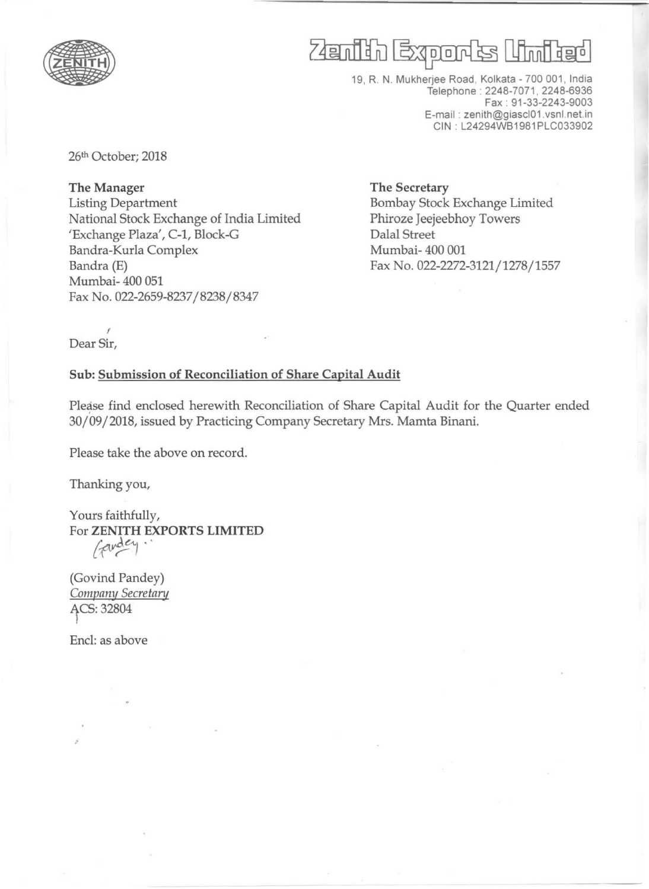

# Zenith Exports United

19, R. N. Mukherjee Road, Kolkata - 700 001, India Telephone : 2248-7071,2248-6936 Fax : 91-33-2243-9003 E-mail : zenith@giascl01 .vsnl.net.in CIN : L24294WB1981 PLC033902

26th October; 2018

The Manager Listing Department National Stock Exchange of India Limited 'Exchange Plaza', C-1, Block-G Bandra-Kurla Complex Bandra (E) Mumbai- 400 051 Fax No. 022-2659-8237/8238/8347

The Secretary Bombay Stock Exchange Limited Phiroze Jeejeebhoy Towers Dalal Street Mumbai- 400 001 Fax No. 022-2272-3121/ 1278/1557

I Dear Sir,

#### Sub: Submission of Reconciliation of Share Capital Audit

Please find enclosed herewith Reconciliation of Share Capital Audit for the Quarter ended 30/09/2018, issued by Practicing Company Secretary Mrs. Mamta Binani.

Please take the above on record.

Thanking you,

Yours faithfully, For ZENITH EXPORTS LIMITED andey

(Govind Pandey) Company Secretary ACS: 32804

Encl: as above

"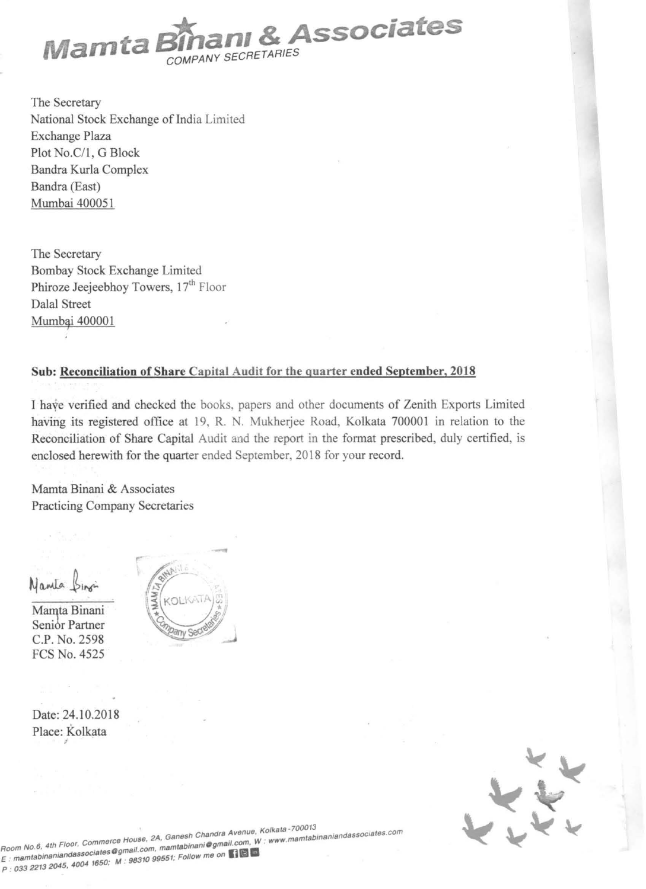

The Secretary National Stock Exchange of India Limited Exchange Plaza Plot No.C/1, G Block Bandra Kurla Complex Bandra (East) Murnbai 400051

The Secretary Bombay Stock Exchange Limited Phiroze Jeejeebhoy Towers, 17<sup>th</sup> Floor Dalal Street Mumbai 400001

#### Sub: Reconciliation of Share Capital Audit for the quarter ended September, 2018

I have verified and checked the books, papers and other documents of Zenith Exports Limited having *its* registered office at 19, R. N. Mukherjee Road, Kolkata 700001 in relation to the Reconciliation of Share Capital Audit and the report in the format prescribed, duly certified, is enclosed herewith for the quarter ended September, 2018 for your record.

Mamta Binani & Associates Practicing Company Secretaries

Nanta Sin

Mamta Binani Senibr Partner C.P. No. 2598 FCS No. 4525

Date: 24.10.2018

Place: Kolkata





**KolkatB \_700013 2A Ganssh Chandra Avenue,** *t* **binsniaod8SSoclstes.com**  Room No.6, 4th Floor, Commerce House, 2A, Gallesh and Ogmail.com, W: www.mamtabioando.edu.com. **by a mamballesh and a mammad**  $R$ oom No.6, 4th Floor, Commerce riction, mamtabinani@gmail.com, w.<br>E : mamtabinaniandassociates@ M : 88310 99551; Follow me on **[10]** P : **033 2213 2045. 4004 1650. M .**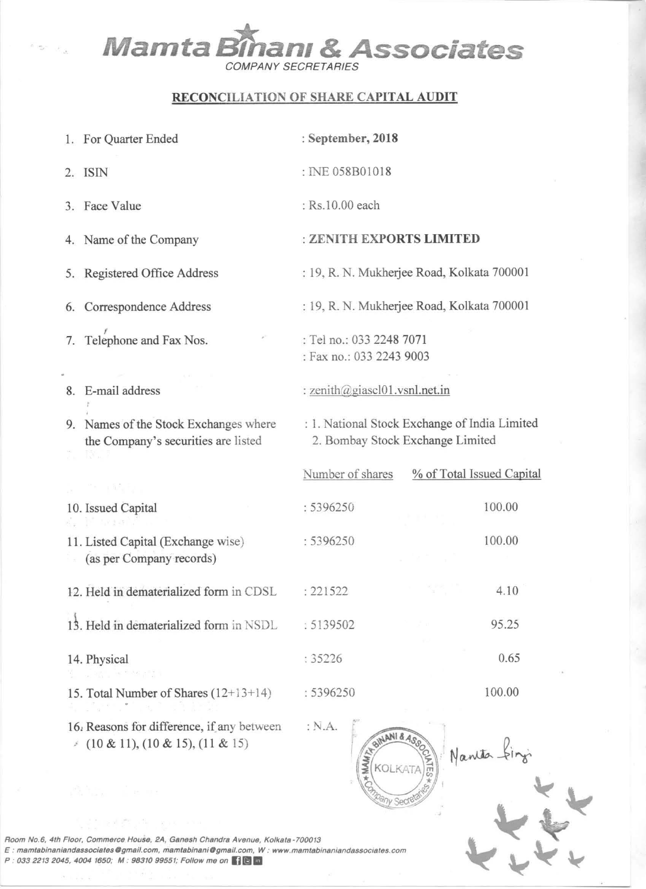## **Mamta Bîhanı & Associates** COMPANY SECRETARIES

### RECONCILIATION OF SHARE CAPITAL AUDIT

| 1. For Quarter Ended                                                               | : September, 2018                                                                 |                           |  |  |  |
|------------------------------------------------------------------------------------|-----------------------------------------------------------------------------------|---------------------------|--|--|--|
| 2. ISIN                                                                            | : INE 058B01018                                                                   |                           |  |  |  |
| 3. Face Value                                                                      | : Rs.10.00 each                                                                   |                           |  |  |  |
| 4. Name of the Company                                                             | : ZENITH EXPORTS LIMITED                                                          |                           |  |  |  |
| 5. Registered Office Address                                                       | : 19, R. N. Mukherjee Road, Kolkata 700001                                        |                           |  |  |  |
| 6. Correspondence Address                                                          | : 19, R. N. Mukherjee Road, Kolkata 700001                                        |                           |  |  |  |
| 7. Telephone and Fax Nos.                                                          | : Tel no.: 033 2248 7071<br>: Fax no.: 033 2243 9003                              |                           |  |  |  |
| 8. E-mail address                                                                  | : zenith@giascl01.vsnl.net.in                                                     |                           |  |  |  |
| 9. Names of the Stock Exchanges where<br>the Company's securities are listed       | : 1. National Stock Exchange of India Limited<br>2. Bombay Stock Exchange Limited |                           |  |  |  |
| 나는 거리 사회할 수 있다.                                                                    | Number of shares                                                                  | % of Total Issued Capital |  |  |  |
| 10. Issued Capital<br>al in arranto                                                | : 5396250                                                                         | 100.00                    |  |  |  |
| 11. Listed Capital (Exchange wise)<br>(as per Company records)                     | : 5396250                                                                         | 100.00                    |  |  |  |
| 12. Held in dematerialized form in CDSL                                            | : 221522                                                                          | 4.10                      |  |  |  |
| 13. Held in dematerialized form in NSDL                                            | : 5139502                                                                         | 95.25                     |  |  |  |
| 14. Physical<br>3倍 - 167,567円 201                                                  | :35226                                                                            | 0.65                      |  |  |  |
| 15. Total Number of Shares $(12+13+14)$                                            | : 5396250                                                                         | 100.00                    |  |  |  |
| 16. Reasons for difference, if any between<br>$(10 \& 11), (10 \& 15), (11 \& 15)$ | : N.A.<br>BINANI & ASSO                                                           |                           |  |  |  |

Secre

Room No.6, 4th Floor, Commerce House, 2A, Ganesh Chandra Avenue, Kolkata-700013 noom Nete, Am Nete, Commerce Nesset, Ext, Camern channel Wenter, Nomara 1999 of Commerce 2012<br>E: mamtabinaniandassociates@gmail.com, mamtabinani@gmail.com, W: www.mamtabinaniandassociates.com<br>P : 033 2213 2045, 4004 1650;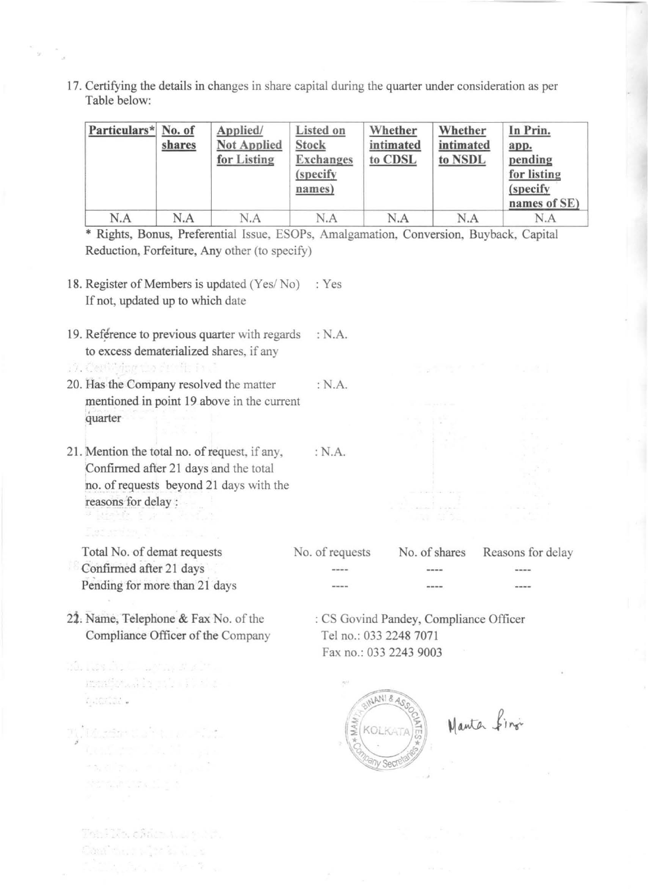17. Certifying the details in changes in share capital during the quarter under consideration as per Table below:

| Particulars* No. of | shares | Applied/<br><b>Not Applied</b><br>for Listing | Listed on<br><b>Stock</b><br><b>Exchanges</b><br>(specify)<br>names) | Whether<br>intimated<br>to CDSL | Whether<br>intimated<br>to NSDL | In Prin.<br>app.<br>pending<br>for listing<br>(specify)<br>names of SE) |
|---------------------|--------|-----------------------------------------------|----------------------------------------------------------------------|---------------------------------|---------------------------------|-------------------------------------------------------------------------|
| N.A                 | N.A    | N.A                                           | N.A                                                                  | N.A                             | N.A                             | N.A                                                                     |

\* Rights, Bonus, Preferential Issue, ESOPs, Amalgamation, Conversion, Buyback, Capital Reduction, Forfeiture, Any other (to specify)

:N.A.

- 18. Register of Members is updated (Yes/No) : Yes If not, updated up to which date
- 19. Reférence to previous quarter with regards : N.A. to excess dematerialized shares, if any
- 20. Has the Company resolved the matter mentioned in point 19 above in the current quarter : N.A.
- 21. Mention the total no. of request, if any, Confirmed after 21 days and the total no. of requests beyond 21 days with the reasons for delay:

Total No. of demat requests Confirmed after 21 days Pending for more than 21 days

21. Name, Telephone & Fax No. of the Compliance Officer of the Company

Maria ya Australia ya Maria ya Maria ya Maria ya Maria ya Maria ya Maria ya Maria ya Maria ya Maria ya Maria ya mendowals strait the

Marine Such all your Jos

Thin Pike, of Actual Line Act. Canalysis, a sign 2, July 2

sa album in Ph

ficontativi

No. of requests No. of shares Reasons for delay لمحتمد --------

: CS Govind Pandey, Compliance Officer Tel no.: 033 2248 7071 Fax no.: 033 2243 9003